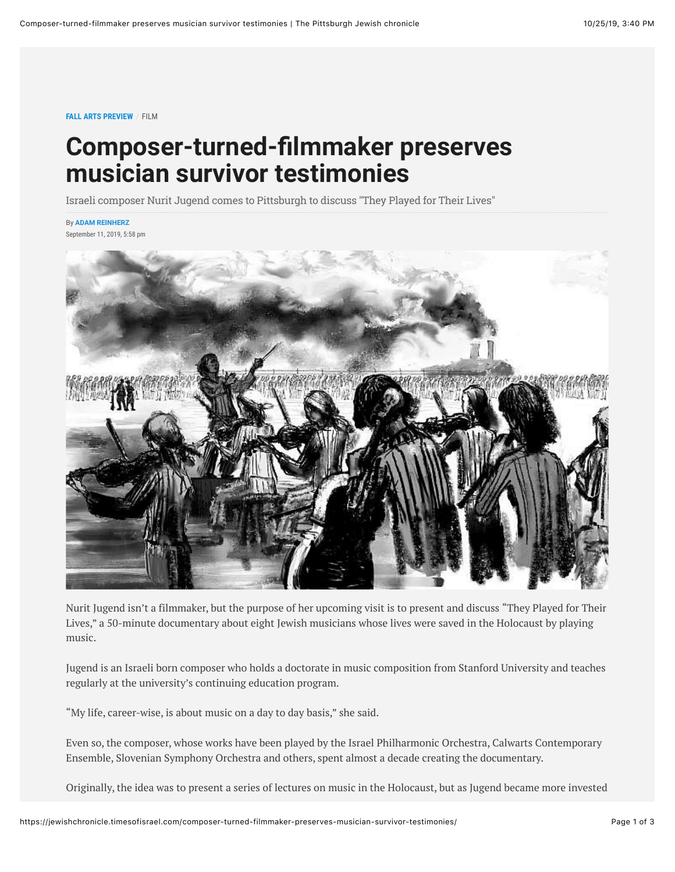## **Composer-turned-filmmaker preserves musician survivor testimonies**

Israeli composer Nurit Jugend comes to Pittsburgh to discuss "They Played for Their Lives"

## By **[ADAM REINHERZ](https://jewishchronicle.timesofisrael.com/writers/adam-reinherz/)**

September 11, 2019, 5:58 pm



Nurit Jugend isn't a filmmaker, but the purpose of her upcoming visit is to present and discuss "They Played for Their Lives," a 50-minute documentary about eight Jewish musicians whose lives were saved in the Holocaust by playing music.

Jugend is an Israeli born composer who holds a doctorate in music composition from Stanford University and teaches regularly at the university's continuing education program.

"My life, career-wise, is about music on a day to day basis," she said.

Even so, the composer, whose works have been played by the Israel Philharmonic Orchestra, Calwarts Contemporary Ensemble, Slovenian Symphony Orchestra and others, spent almost a decade creating the documentary.

Originally, the idea was to present a series of lectures on music in the Holocaust, but as Jugend became more invested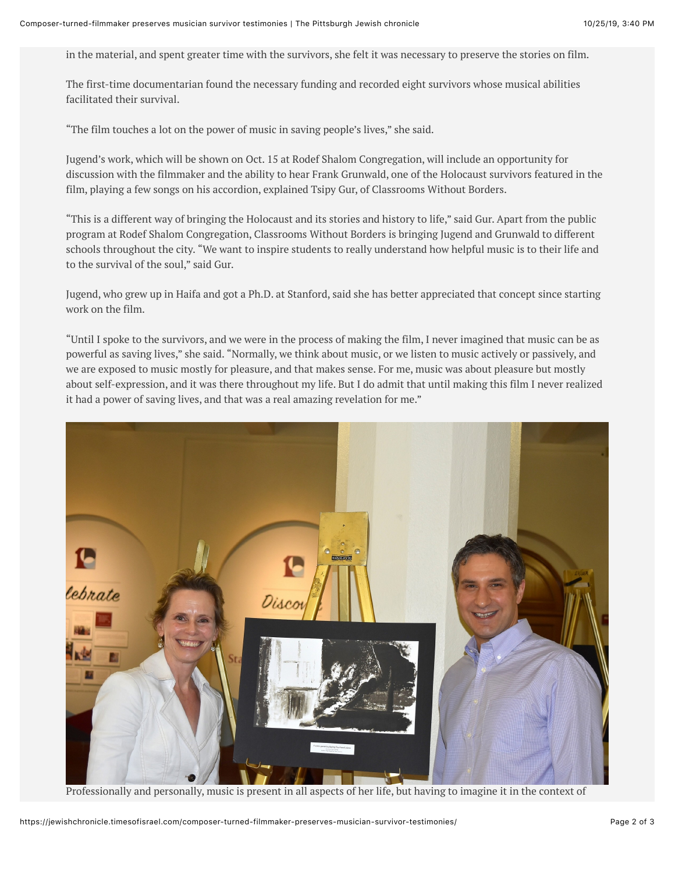in the material, and spent greater time with the survivors, she felt it was necessary to preserve the stories on film.

The first-time documentarian found the necessary funding and recorded eight survivors whose musical abilities facilitated their survival.

"The film touches a lot on the power of music in saving people's lives," she said.

Jugend's work, which will be shown on Oct. 15 at Rodef Shalom Congregation, will include an opportunity for discussion with the filmmaker and the ability to hear Frank Grunwald, one of the Holocaust survivors featured in the film, playing a few songs on his accordion, explained Tsipy Gur, of Classrooms Without Borders.

"This is a different way of bringing the Holocaust and its stories and history to life," said Gur. Apart from the public program at Rodef Shalom Congregation, Classrooms Without Borders is bringing Jugend and Grunwald to different schools throughout the city. "We want to inspire students to really understand how helpful music is to their life and to the survival of the soul," said Gur.

Jugend, who grew up in Haifa and got a Ph.D. at Stanford, said she has better appreciated that concept since starting work on the film.

"Until I spoke to the survivors, and we were in the process of making the film, I never imagined that music can be as powerful as saving lives," she said. "Normally, we think about music, or we listen to music actively or passively, and we are exposed to music mostly for pleasure, and that makes sense. For me, music was about pleasure but mostly about self-expression, and it was there throughout my life. But I do admit that until making this film I never realized it had a power of saving lives, and that was a real amazing revelation for me."



Professionally and personally, music is present in all aspects of her life, but having to imagine it in the context of